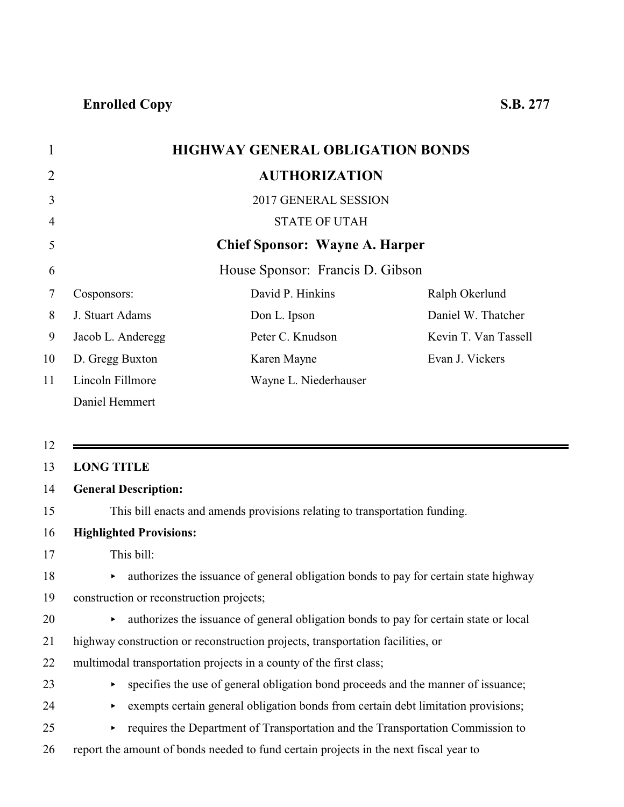|                |                   | <b>HIGHWAY GENERAL OBLIGATION BONDS</b> |                      |
|----------------|-------------------|-----------------------------------------|----------------------|
| $\overline{2}$ |                   | <b>AUTHORIZATION</b>                    |                      |
| 3              |                   | 2017 GENERAL SESSION                    |                      |
| 4              |                   | <b>STATE OF UTAH</b>                    |                      |
| 5              |                   | <b>Chief Sponsor: Wayne A. Harper</b>   |                      |
| 6              |                   | House Sponsor: Francis D. Gibson        |                      |
| 7              | Cosponsors:       | David P. Hinkins                        | Ralph Okerlund       |
| 8              | J. Stuart Adams   | Don L. Ipson                            | Daniel W. Thatcher   |
| 9              | Jacob L. Anderegg | Peter C. Knudson                        | Kevin T. Van Tassell |
| 10             | D. Gregg Buxton   | Karen Mayne                             | Evan J. Vickers      |
| 11             | Lincoln Fillmore  | Wayne L. Niederhauser                   |                      |
|                | Daniel Hemmert    |                                         |                      |

12

#### 13 **LONG TITLE**

#### 14 **General Description:**

15 This bill enacts and amends provisions relating to transportation funding.

#### 16 **Highlighted Provisions:**

17 This bill:

#### 18 authorizes the issuance of general obligation bonds to pay for certain state highway

- 19 construction or reconstruction projects;
- 20 authorizes the issuance of general obligation bonds to pay for certain state or local
- 21 highway construction or reconstruction projects, transportation facilities, or
- 22 multimodal transportation projects in a county of the first class;
- 23 < specifies the use of general obligation bond proceeds and the manner of issuance;
- 24 exempts certain general obligation bonds from certain debt limitation provisions;
- <sup>25</sup> requires the Department of Transportation and the Transportation Commission to
- 26 report the amount of bonds needed to fund certain projects in the next fiscal year to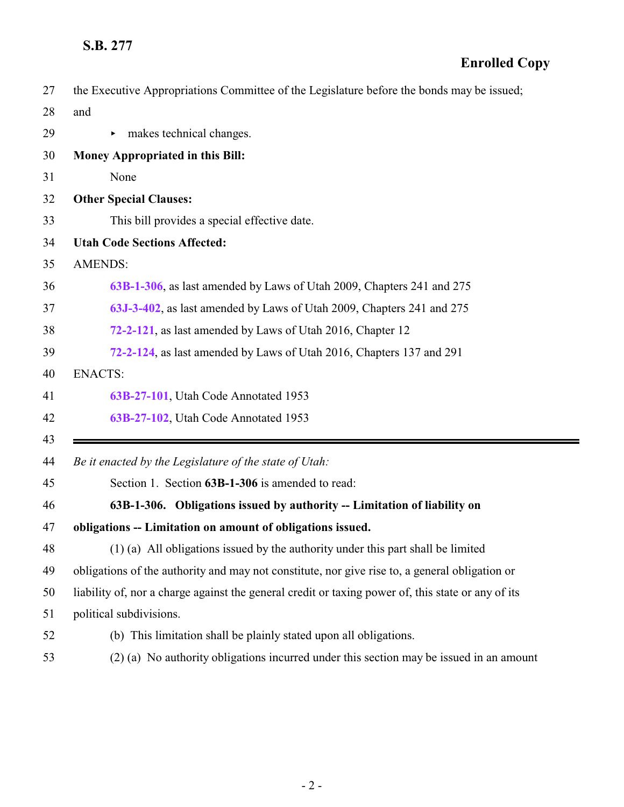<span id="page-1-0"></span>

| 27 | the Executive Appropriations Committee of the Legislature before the bonds may be issued;          |
|----|----------------------------------------------------------------------------------------------------|
| 28 | and                                                                                                |
| 29 | makes technical changes.<br>▶                                                                      |
| 30 | Money Appropriated in this Bill:                                                                   |
| 31 | None                                                                                               |
| 32 | <b>Other Special Clauses:</b>                                                                      |
| 33 | This bill provides a special effective date.                                                       |
| 34 | <b>Utah Code Sections Affected:</b>                                                                |
| 35 | <b>AMENDS:</b>                                                                                     |
| 36 | 63B-1-306, as last amended by Laws of Utah 2009, Chapters 241 and 275                              |
| 37 | 63J-3-402, as last amended by Laws of Utah 2009, Chapters 241 and 275                              |
| 38 | 72-2-121, as last amended by Laws of Utah 2016, Chapter 12                                         |
| 39 | 72-2-124, as last amended by Laws of Utah 2016, Chapters 137 and 291                               |
| 40 | <b>ENACTS:</b>                                                                                     |
|    |                                                                                                    |
| 41 | 63B-27-101, Utah Code Annotated 1953                                                               |
| 42 | 63B-27-102, Utah Code Annotated 1953                                                               |
| 43 |                                                                                                    |
| 44 | Be it enacted by the Legislature of the state of Utah:                                             |
| 45 | Section 1. Section 63B-1-306 is amended to read:                                                   |
| 46 | 63B-1-306. Obligations issued by authority -- Limitation of liability on                           |
| 47 | obligations -- Limitation on amount of obligations issued.                                         |
| 48 | (1) (a) All obligations issued by the authority under this part shall be limited                   |
| 49 | obligations of the authority and may not constitute, nor give rise to, a general obligation or     |
| 50 | liability of, nor a charge against the general credit or taxing power of, this state or any of its |
| 51 | political subdivisions.                                                                            |
| 52 | (b) This limitation shall be plainly stated upon all obligations.                                  |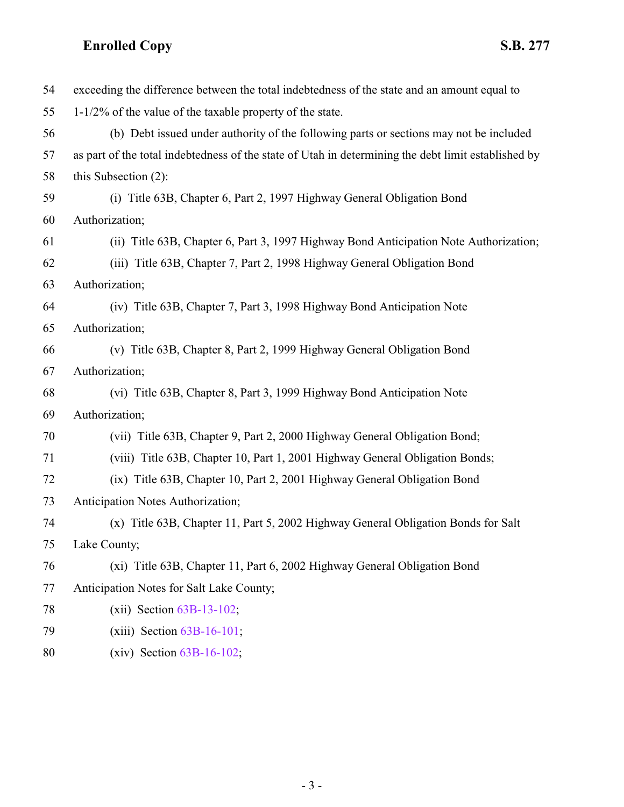| 54 | exceeding the difference between the total indebtedness of the state and an amount equal to         |
|----|-----------------------------------------------------------------------------------------------------|
| 55 | $1-1/2\%$ of the value of the taxable property of the state.                                        |
| 56 | (b) Debt issued under authority of the following parts or sections may not be included              |
| 57 | as part of the total indebtedness of the state of Utah in determining the debt limit established by |
| 58 | this Subsection $(2)$ :                                                                             |
| 59 | (i) Title 63B, Chapter 6, Part 2, 1997 Highway General Obligation Bond                              |
| 60 | Authorization;                                                                                      |
| 61 | (ii) Title 63B, Chapter 6, Part 3, 1997 Highway Bond Anticipation Note Authorization;               |
| 62 | (iii) Title 63B, Chapter 7, Part 2, 1998 Highway General Obligation Bond                            |
| 63 | Authorization;                                                                                      |
| 64 | (iv) Title 63B, Chapter 7, Part 3, 1998 Highway Bond Anticipation Note                              |
| 65 | Authorization;                                                                                      |
| 66 | (v) Title 63B, Chapter 8, Part 2, 1999 Highway General Obligation Bond                              |
| 67 | Authorization;                                                                                      |
| 68 | (vi) Title 63B, Chapter 8, Part 3, 1999 Highway Bond Anticipation Note                              |
| 69 | Authorization;                                                                                      |
| 70 | (vii) Title 63B, Chapter 9, Part 2, 2000 Highway General Obligation Bond;                           |
| 71 | (viii) Title 63B, Chapter 10, Part 1, 2001 Highway General Obligation Bonds;                        |
| 72 | (ix) Title 63B, Chapter 10, Part 2, 2001 Highway General Obligation Bond                            |
| 73 | Anticipation Notes Authorization;                                                                   |
| 74 | (x) Title 63B, Chapter 11, Part 5, 2002 Highway General Obligation Bonds for Salt                   |
| 75 | Lake County;                                                                                        |
| 76 | (xi) Title 63B, Chapter 11, Part 6, 2002 Highway General Obligation Bond                            |
| 77 | Anticipation Notes for Salt Lake County;                                                            |
| 78 | $(xii)$ Section $63B-13-102$ ;                                                                      |
| 79 | $(xiii)$ Section $63B-16-101$ ;                                                                     |
| 80 | $(xiv)$ Section 63B-16-102;                                                                         |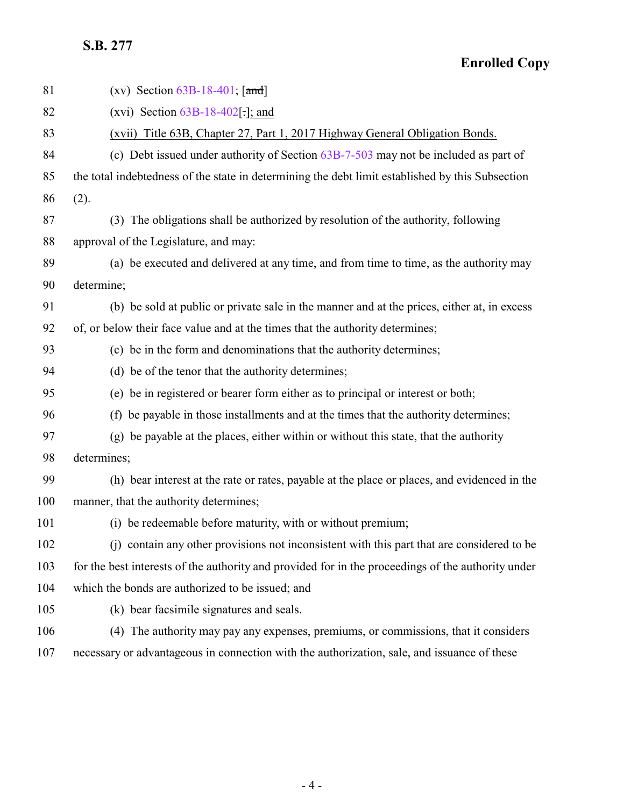| 81  | (xv) Section $63B-18-401$ ; [and]                                                                  |
|-----|----------------------------------------------------------------------------------------------------|
| 82  | (xvi) Section $63B-18-402$ [:]; and                                                                |
| 83  | (xvii) Title 63B, Chapter 27, Part 1, 2017 Highway General Obligation Bonds.                       |
| 84  | (c) Debt issued under authority of Section $63B-7-503$ may not be included as part of              |
| 85  | the total indebtedness of the state in determining the debt limit established by this Subsection   |
| 86  | (2).                                                                                               |
| 87  | (3) The obligations shall be authorized by resolution of the authority, following                  |
| 88  | approval of the Legislature, and may:                                                              |
| 89  | (a) be executed and delivered at any time, and from time to time, as the authority may             |
| 90  | determine;                                                                                         |
| 91  | (b) be sold at public or private sale in the manner and at the prices, either at, in excess        |
| 92  | of, or below their face value and at the times that the authority determines;                      |
| 93  | (c) be in the form and denominations that the authority determines;                                |
| 94  | (d) be of the tenor that the authority determines;                                                 |
| 95  | (e) be in registered or bearer form either as to principal or interest or both;                    |
| 96  | (f) be payable in those installments and at the times that the authority determines;               |
| 97  | (g) be payable at the places, either within or without this state, that the authority              |
| 98  | determines;                                                                                        |
| 99  | (h) bear interest at the rate or rates, payable at the place or places, and evidenced in the       |
| 100 | manner, that the authority determines;                                                             |
| 101 | (i) be redeemable before maturity, with or without premium;                                        |
| 102 | (j) contain any other provisions not inconsistent with this part that are considered to be         |
| 103 | for the best interests of the authority and provided for in the proceedings of the authority under |
| 104 | which the bonds are authorized to be issued; and                                                   |
| 105 | (k) bear facsimile signatures and seals.                                                           |
| 106 | (4) The authority may pay any expenses, premiums, or commissions, that it considers                |
| 107 | necessary or advantageous in connection with the authorization, sale, and issuance of these        |
|     |                                                                                                    |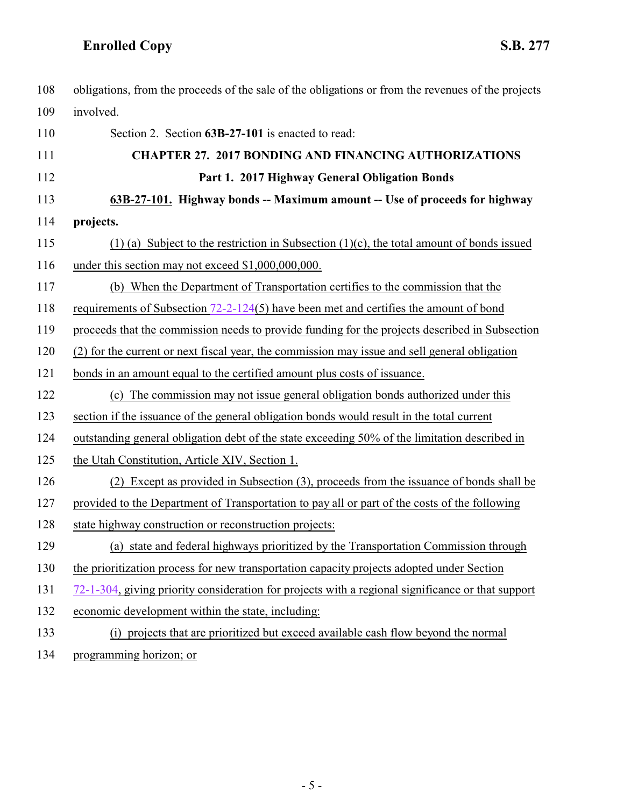<span id="page-4-0"></span>

| 108 | obligations, from the proceeds of the sale of the obligations or from the revenues of the projects |
|-----|----------------------------------------------------------------------------------------------------|
| 109 | involved.                                                                                          |
| 110 | Section 2. Section 63B-27-101 is enacted to read:                                                  |
| 111 | <b>CHAPTER 27. 2017 BONDING AND FINANCING AUTHORIZATIONS</b>                                       |
| 112 | Part 1. 2017 Highway General Obligation Bonds                                                      |
| 113 | 63B-27-101. Highway bonds -- Maximum amount -- Use of proceeds for highway                         |
| 114 | projects.                                                                                          |
| 115 | (1) (a) Subject to the restriction in Subsection $(1)(c)$ , the total amount of bonds issued       |
| 116 | under this section may not exceed \$1,000,000,000.                                                 |
| 117 | (b) When the Department of Transportation certifies to the commission that the                     |
| 118 | requirements of Subsection $72-2-124(5)$ have been met and certifies the amount of bond            |
| 119 | proceeds that the commission needs to provide funding for the projects described in Subsection     |
| 120 | (2) for the current or next fiscal year, the commission may issue and sell general obligation      |
| 121 | bonds in an amount equal to the certified amount plus costs of issuance.                           |
| 122 | (c) The commission may not issue general obligation bonds authorized under this                    |
| 123 | section if the issuance of the general obligation bonds would result in the total current          |
| 124 | outstanding general obligation debt of the state exceeding 50% of the limitation described in      |
| 125 | the Utah Constitution, Article XIV, Section 1.                                                     |
| 126 | (2) Except as provided in Subsection (3), proceeds from the issuance of bonds shall be             |
| 127 | provided to the Department of Transportation to pay all or part of the costs of the following      |
| 128 | state highway construction or reconstruction projects:                                             |
| 129 | (a) state and federal highways prioritized by the Transportation Commission through                |
| 130 | the prioritization process for new transportation capacity projects adopted under Section          |
| 131 | 72-1-304, giving priority consideration for projects with a regional significance or that support  |
| 132 | economic development within the state, including:                                                  |
| 133 | (i) projects that are prioritized but exceed available cash flow beyond the normal                 |
| 134 | programming horizon; or                                                                            |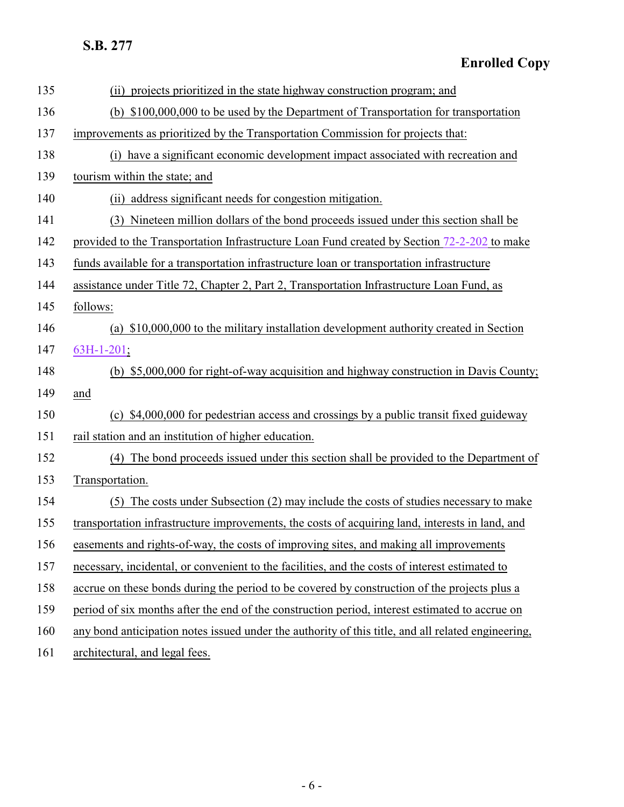| 135 | (ii) projects prioritized in the state highway construction program; and                           |
|-----|----------------------------------------------------------------------------------------------------|
| 136 | (b) \$100,000,000 to be used by the Department of Transportation for transportation                |
| 137 | improvements as prioritized by the Transportation Commission for projects that:                    |
| 138 | (i) have a significant economic development impact associated with recreation and                  |
| 139 | tourism within the state; and                                                                      |
| 140 | (ii) address significant needs for congestion mitigation.                                          |
| 141 | (3) Nineteen million dollars of the bond proceeds issued under this section shall be               |
| 142 | provided to the Transportation Infrastructure Loan Fund created by Section 72-2-202 to make        |
| 143 | funds available for a transportation infrastructure loan or transportation infrastructure          |
| 144 | assistance under Title 72, Chapter 2, Part 2, Transportation Infrastructure Loan Fund, as          |
| 145 | follows:                                                                                           |
| 146 | (a) \$10,000,000 to the military installation development authority created in Section             |
| 147 | 63H-1-201;                                                                                         |
| 148 | (b) \$5,000,000 for right-of-way acquisition and highway construction in Davis County;             |
| 149 | and                                                                                                |
| 150 | (c) \$4,000,000 for pedestrian access and crossings by a public transit fixed guideway             |
| 151 | rail station and an institution of higher education.                                               |
| 152 | (4) The bond proceeds issued under this section shall be provided to the Department of             |
| 153 | Transportation.                                                                                    |
| 154 | (5) The costs under Subsection (2) may include the costs of studies necessary to make              |
| 155 | transportation infrastructure improvements, the costs of acquiring land, interests in land, and    |
| 156 | easements and rights-of-way, the costs of improving sites, and making all improvements             |
| 157 | necessary, incidental, or convenient to the facilities, and the costs of interest estimated to     |
| 158 | accrue on these bonds during the period to be covered by construction of the projects plus a       |
| 159 | period of six months after the end of the construction period, interest estimated to accrue on     |
| 160 | any bond anticipation notes issued under the authority of this title, and all related engineering, |
| 161 | architectural, and legal fees.                                                                     |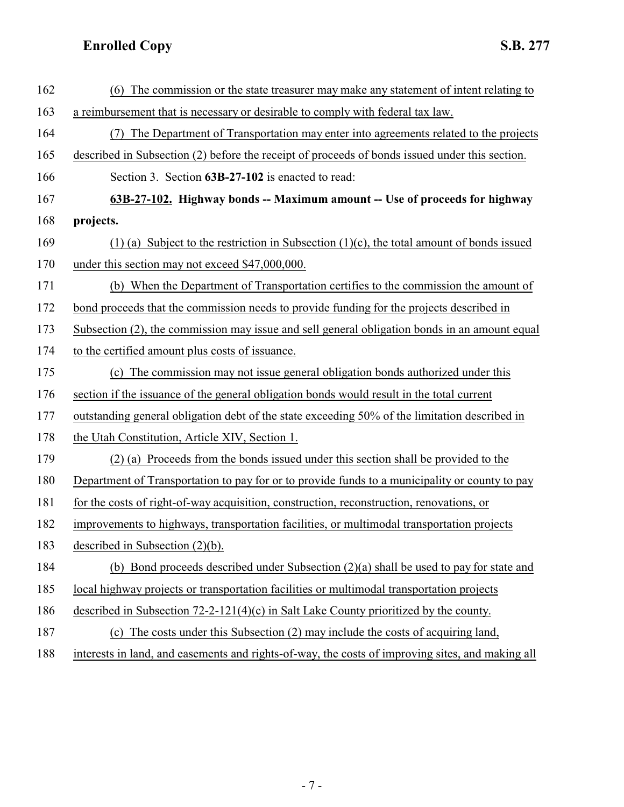<span id="page-6-0"></span>

| 162 | The commission or the state treasurer may make any statement of intent relating to               |
|-----|--------------------------------------------------------------------------------------------------|
| 163 | a reimbursement that is necessary or desirable to comply with federal tax law.                   |
| 164 | The Department of Transportation may enter into agreements related to the projects               |
| 165 | described in Subsection (2) before the receipt of proceeds of bonds issued under this section.   |
| 166 | Section 3. Section 63B-27-102 is enacted to read:                                                |
| 167 | 63B-27-102. Highway bonds -- Maximum amount -- Use of proceeds for highway                       |
| 168 | projects.                                                                                        |
| 169 | (1) (a) Subject to the restriction in Subsection $(1)(c)$ , the total amount of bonds issued     |
| 170 | under this section may not exceed \$47,000,000.                                                  |
| 171 | (b) When the Department of Transportation certifies to the commission the amount of              |
| 172 | bond proceeds that the commission needs to provide funding for the projects described in         |
| 173 | Subsection (2), the commission may issue and sell general obligation bonds in an amount equal    |
| 174 | to the certified amount plus costs of issuance.                                                  |
| 175 | (c) The commission may not issue general obligation bonds authorized under this                  |
| 176 | section if the issuance of the general obligation bonds would result in the total current        |
| 177 | outstanding general obligation debt of the state exceeding 50% of the limitation described in    |
| 178 | the Utah Constitution, Article XIV, Section 1.                                                   |
| 179 | (2) (a) Proceeds from the bonds issued under this section shall be provided to the               |
| 180 | Department of Transportation to pay for or to provide funds to a municipality or county to pay   |
| 181 | for the costs of right-of-way acquisition, construction, reconstruction, renovations, or         |
| 182 | improvements to highways, transportation facilities, or multimodal transportation projects       |
| 183 | described in Subsection $(2)(b)$ .                                                               |
| 184 | (b) Bond proceeds described under Subsection (2)(a) shall be used to pay for state and           |
| 185 | local highway projects or transportation facilities or multimodal transportation projects        |
| 186 | described in Subsection $72-2-121(4)(c)$ in Salt Lake County prioritized by the county.          |
| 187 | (c) The costs under this Subsection (2) may include the costs of acquiring land,                 |
| 188 | interests in land, and easements and rights-of-way, the costs of improving sites, and making all |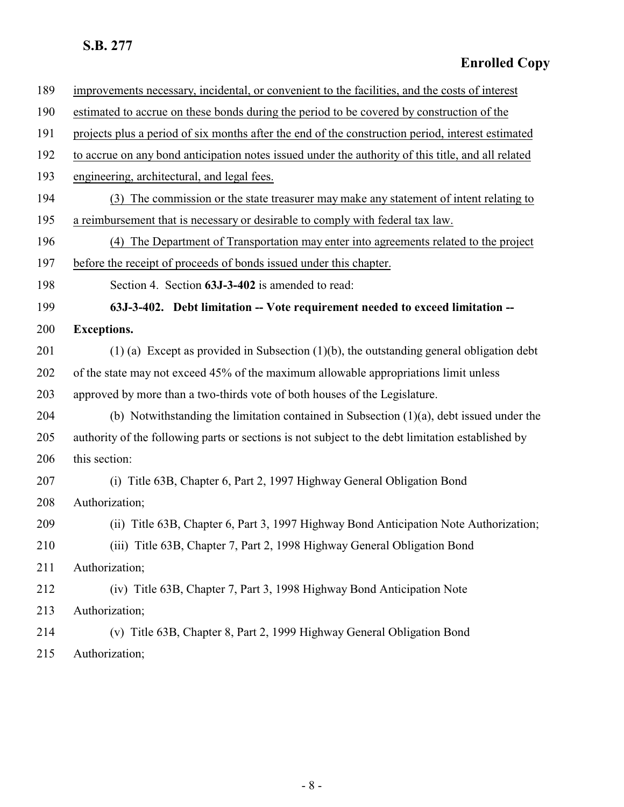<span id="page-7-0"></span>

| 189 | improvements necessary, incidental, or convenient to the facilities, and the costs of interest     |
|-----|----------------------------------------------------------------------------------------------------|
| 190 | estimated to accrue on these bonds during the period to be covered by construction of the          |
| 191 | projects plus a period of six months after the end of the construction period, interest estimated  |
| 192 | to accrue on any bond anticipation notes issued under the authority of this title, and all related |
| 193 | engineering, architectural, and legal fees.                                                        |
| 194 | (3) The commission or the state treasurer may make any statement of intent relating to             |
| 195 | a reimbursement that is necessary or desirable to comply with federal tax law.                     |
| 196 | (4) The Department of Transportation may enter into agreements related to the project              |
| 197 | before the receipt of proceeds of bonds issued under this chapter.                                 |
| 198 | Section 4. Section 63J-3-402 is amended to read:                                                   |
| 199 | 63J-3-402. Debt limitation -- Vote requirement needed to exceed limitation --                      |
| 200 | <b>Exceptions.</b>                                                                                 |
| 201 | $(1)$ (a) Except as provided in Subsection $(1)(b)$ , the outstanding general obligation debt      |
| 202 | of the state may not exceed 45% of the maximum allowable appropriations limit unless               |
| 203 | approved by more than a two-thirds vote of both houses of the Legislature.                         |
| 204 | (b) Notwithstanding the limitation contained in Subsection $(1)(a)$ , debt issued under the        |
| 205 | authority of the following parts or sections is not subject to the debt limitation established by  |
| 206 | this section:                                                                                      |
| 207 | (i) Title 63B, Chapter 6, Part 2, 1997 Highway General Obligation Bond                             |
| 208 | Authorization;                                                                                     |
| 209 | (ii) Title 63B, Chapter 6, Part 3, 1997 Highway Bond Anticipation Note Authorization;              |
| 210 | (iii) Title 63B, Chapter 7, Part 2, 1998 Highway General Obligation Bond                           |
| 211 | Authorization;                                                                                     |
| 212 | (iv) Title 63B, Chapter 7, Part 3, 1998 Highway Bond Anticipation Note                             |
| 213 | Authorization;                                                                                     |
| 214 | (v) Title 63B, Chapter 8, Part 2, 1999 Highway General Obligation Bond                             |
| 215 | Authorization;                                                                                     |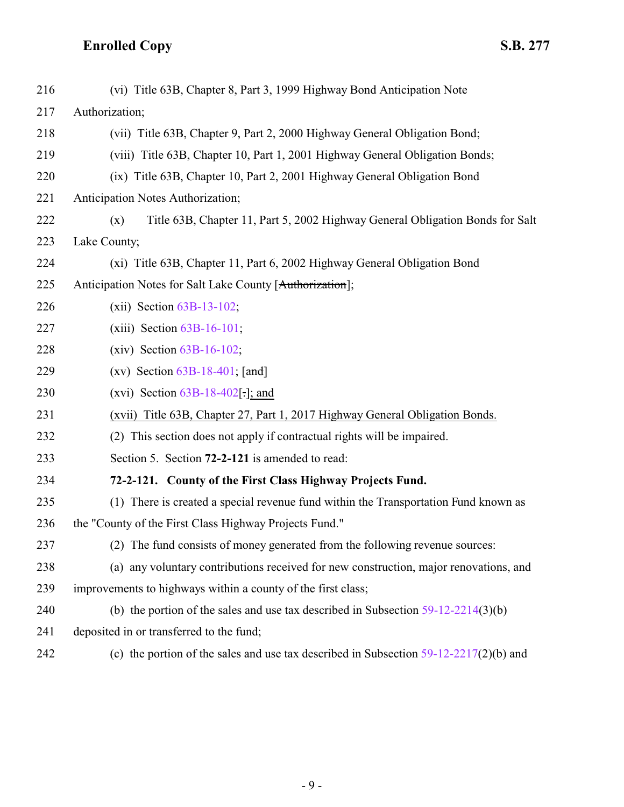<span id="page-8-0"></span>

| 216 | (vi) Title 63B, Chapter 8, Part 3, 1999 Highway Bond Anticipation Note                  |
|-----|-----------------------------------------------------------------------------------------|
| 217 | Authorization;                                                                          |
| 218 | (vii) Title 63B, Chapter 9, Part 2, 2000 Highway General Obligation Bond;               |
| 219 | (viii) Title 63B, Chapter 10, Part 1, 2001 Highway General Obligation Bonds;            |
| 220 | (ix) Title 63B, Chapter 10, Part 2, 2001 Highway General Obligation Bond                |
| 221 | Anticipation Notes Authorization;                                                       |
| 222 | Title 63B, Chapter 11, Part 5, 2002 Highway General Obligation Bonds for Salt<br>(x)    |
| 223 | Lake County;                                                                            |
| 224 | (xi) Title 63B, Chapter 11, Part 6, 2002 Highway General Obligation Bond                |
| 225 | Anticipation Notes for Salt Lake County [Authorization];                                |
| 226 | $(xii)$ Section $63B-13-102$ ;                                                          |
| 227 | $(xiii)$ Section $63B-16-101$ ;                                                         |
| 228 | $(xiv)$ Section $63B-16-102$ ;                                                          |
| 229 | (xv) Section $63B-18-401$ ; [and]                                                       |
| 230 | (xvi) Section $63B-18-402$ .]; and                                                      |
| 231 | (xvii) Title 63B, Chapter 27, Part 1, 2017 Highway General Obligation Bonds.            |
| 232 | (2) This section does not apply if contractual rights will be impaired.                 |
| 233 | Section 5. Section 72-2-121 is amended to read:                                         |
| 234 | 72-2-121. County of the First Class Highway Projects Fund.                              |
| 235 | (1) There is created a special revenue fund within the Transportation Fund known as     |
| 236 | the "County of the First Class Highway Projects Fund."                                  |
| 237 | The fund consists of money generated from the following revenue sources:<br>(2)         |
| 238 | (a) any voluntary contributions received for new construction, major renovations, and   |
| 239 | improvements to highways within a county of the first class;                            |
| 240 | (b) the portion of the sales and use tax described in Subsection $59-12-2214(3)(b)$     |
| 241 | deposited in or transferred to the fund;                                                |
| 242 | (c) the portion of the sales and use tax described in Subsection $59-12-2217(2)(b)$ and |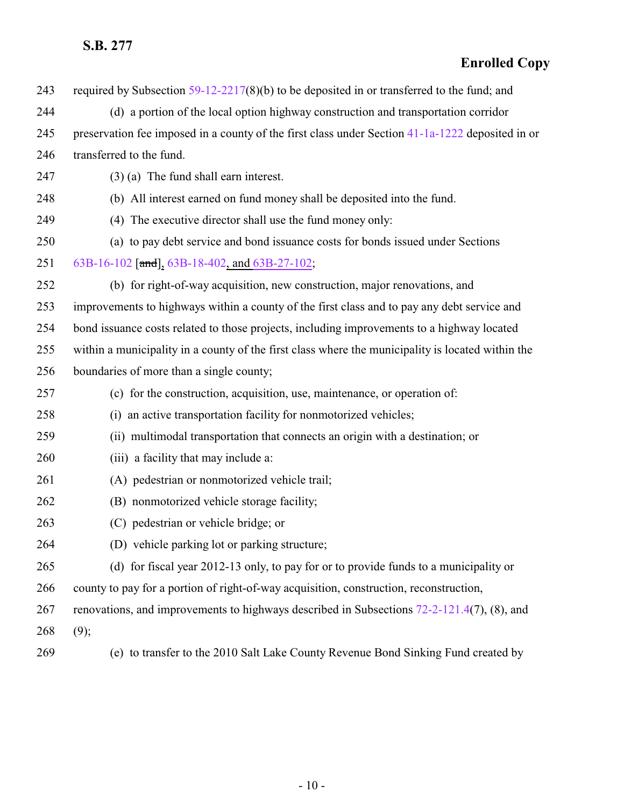| 243 | required by Subsection $59-12-2217(8)(b)$ to be deposited in or transferred to the fund; and      |
|-----|---------------------------------------------------------------------------------------------------|
| 244 | (d) a portion of the local option highway construction and transportation corridor                |
| 245 | preservation fee imposed in a county of the first class under Section 41-1a-1222 deposited in or  |
| 246 | transferred to the fund.                                                                          |
| 247 | $(3)$ (a) The fund shall earn interest.                                                           |
| 248 | (b) All interest earned on fund money shall be deposited into the fund.                           |
| 249 | (4) The executive director shall use the fund money only:                                         |
| 250 | (a) to pay debt service and bond issuance costs for bonds issued under Sections                   |
| 251 | 63B-16-102 [and], 63B-18-402, and 63B-27-102;                                                     |
| 252 | (b) for right-of-way acquisition, new construction, major renovations, and                        |
| 253 | improvements to highways within a county of the first class and to pay any debt service and       |
| 254 | bond issuance costs related to those projects, including improvements to a highway located        |
| 255 | within a municipality in a county of the first class where the municipality is located within the |
| 256 | boundaries of more than a single county;                                                          |
| 257 | (c) for the construction, acquisition, use, maintenance, or operation of:                         |
| 258 | (i) an active transportation facility for nonmotorized vehicles;                                  |
| 259 | (ii) multimodal transportation that connects an origin with a destination; or                     |
| 260 | (iii) a facility that may include a:                                                              |
| 261 | (A) pedestrian or nonmotorized vehicle trail;                                                     |
| 262 | (B) nonmotorized vehicle storage facility;                                                        |
| 263 | (C) pedestrian or vehicle bridge; or                                                              |
| 264 | (D) vehicle parking lot or parking structure;                                                     |
| 265 | (d) for fiscal year 2012-13 only, to pay for or to provide funds to a municipality or             |
| 266 | county to pay for a portion of right-of-way acquisition, construction, reconstruction,            |
| 267 | renovations, and improvements to highways described in Subsections $72-2-121.4(7)$ , (8), and     |
| 268 | (9);                                                                                              |
| 269 | (e) to transfer to the 2010 Salt Lake County Revenue Bond Sinking Fund created by                 |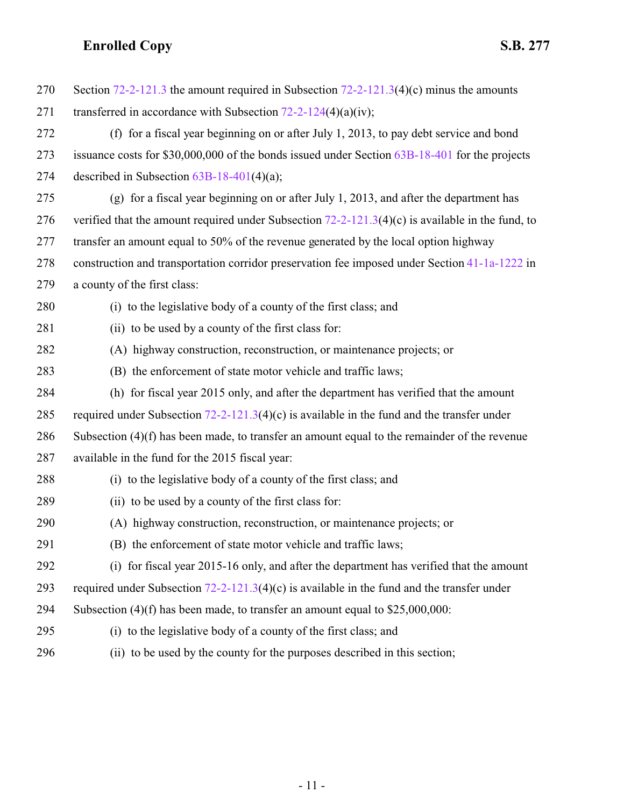| 270 | Section 72-2-121.3 the amount required in Subsection $72-2-121.3(4)(c)$ minus the amounts          |
|-----|----------------------------------------------------------------------------------------------------|
| 271 | transferred in accordance with Subsection $72-2-124(4)(a)(iv)$ ;                                   |
| 272 | (f) for a fiscal year beginning on or after July 1, 2013, to pay debt service and bond             |
| 273 | issuance costs for $$30,000,000$ of the bonds issued under Section $63B-18-401$ for the projects   |
| 274 | described in Subsection $63B-18-401(4)(a)$ ;                                                       |
| 275 | (g) for a fiscal year beginning on or after July 1, 2013, and after the department has             |
| 276 | verified that the amount required under Subsection $72-2-121.3(4)(c)$ is available in the fund, to |
| 277 | transfer an amount equal to 50% of the revenue generated by the local option highway               |
| 278 | construction and transportation corridor preservation fee imposed under Section 41-1a-1222 in      |
| 279 | a county of the first class:                                                                       |
| 280 | (i) to the legislative body of a county of the first class; and                                    |
| 281 | (ii) to be used by a county of the first class for:                                                |
| 282 | (A) highway construction, reconstruction, or maintenance projects; or                              |
| 283 | (B) the enforcement of state motor vehicle and traffic laws;                                       |
| 284 | (h) for fiscal year 2015 only, and after the department has verified that the amount               |
| 285 | required under Subsection $72-2-121.3(4)(c)$ is available in the fund and the transfer under       |
| 286 | Subsection $(4)(f)$ has been made, to transfer an amount equal to the remainder of the revenue     |
| 287 | available in the fund for the 2015 fiscal year:                                                    |
| 288 | (i) to the legislative body of a county of the first class; and                                    |
| 289 | (ii) to be used by a county of the first class for:                                                |
| 290 | (A) highway construction, reconstruction, or maintenance projects; or                              |
| 291 | (B) the enforcement of state motor vehicle and traffic laws;                                       |
| 292 | (i) for fiscal year 2015-16 only, and after the department has verified that the amount            |
| 293 | required under Subsection $72-2-121.3(4)(c)$ is available in the fund and the transfer under       |
| 294 | Subsection $(4)(f)$ has been made, to transfer an amount equal to \$25,000,000:                    |
| 295 | (i) to the legislative body of a county of the first class; and                                    |
| 296 | (ii) to be used by the county for the purposes described in this section;                          |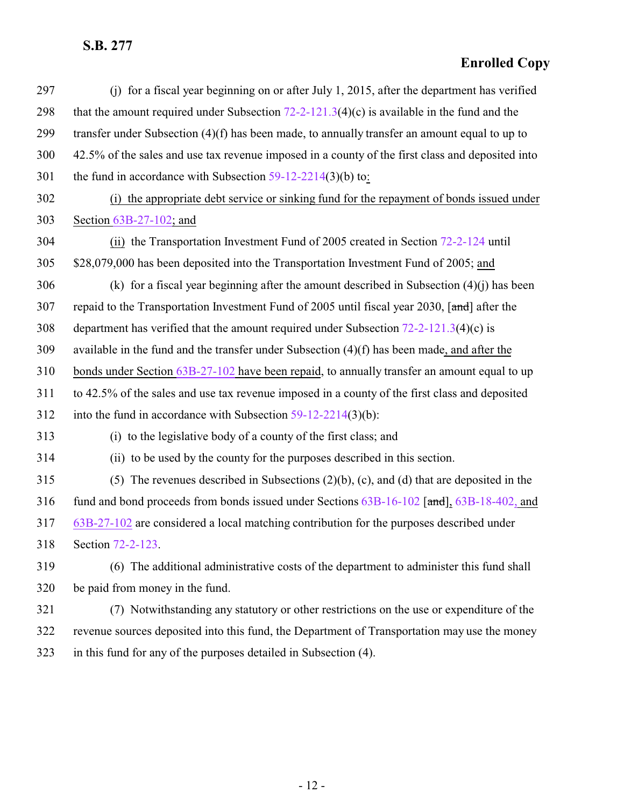| 297 | (j) for a fiscal year beginning on or after July 1, 2015, after the department has verified      |
|-----|--------------------------------------------------------------------------------------------------|
| 298 | that the amount required under Subsection $72-2-121.3(4)(c)$ is available in the fund and the    |
| 299 | transfer under Subsection $(4)(f)$ has been made, to annually transfer an amount equal to up to  |
| 300 | 42.5% of the sales and use tax revenue imposed in a county of the first class and deposited into |
| 301 | the fund in accordance with Subsection $59-12-2214(3)(b)$ to:                                    |
| 302 | (i) the appropriate debt service or sinking fund for the repayment of bonds issued under         |
| 303 | Section $63B-27-102$ ; and                                                                       |
| 304 | (ii) the Transportation Investment Fund of 2005 created in Section 72-2-124 until                |
| 305 | \$28,079,000 has been deposited into the Transportation Investment Fund of 2005; and             |
| 306 | (k) for a fiscal year beginning after the amount described in Subsection $(4)(j)$ has been       |
| 307 | repaid to the Transportation Investment Fund of 2005 until fiscal year 2030, [and] after the     |
| 308 | department has verified that the amount required under Subsection $72-2-121.3(4)(c)$ is          |
| 309 | available in the fund and the transfer under Subsection $(4)(f)$ has been made, and after the    |
| 310 | bonds under Section 63B-27-102 have been repaid, to annually transfer an amount equal to up      |
| 311 | to 42.5% of the sales and use tax revenue imposed in a county of the first class and deposited   |
| 312 | into the fund in accordance with Subsection $59-12-2214(3)(b)$ :                                 |
| 313 | (i) to the legislative body of a county of the first class; and                                  |
| 314 | (ii) to be used by the county for the purposes described in this section.                        |
| 315 | (5) The revenues described in Subsections $(2)(b)$ , $(c)$ , and $(d)$ that are deposited in the |
| 316 | fund and bond proceeds from bonds issued under Sections 63B-16-102 [and], 63B-18-402, and        |
| 317 | $63B-27-102$ are considered a local matching contribution for the purposes described under       |
| 318 | Section 72-2-123.                                                                                |
| 319 | (6) The additional administrative costs of the department to administer this fund shall          |
| 320 | be paid from money in the fund.                                                                  |
| 321 | (7) Notwithstanding any statutory or other restrictions on the use or expenditure of the         |
| 322 | revenue sources deposited into this fund, the Department of Transportation may use the money     |
| 323 | in this fund for any of the purposes detailed in Subsection (4).                                 |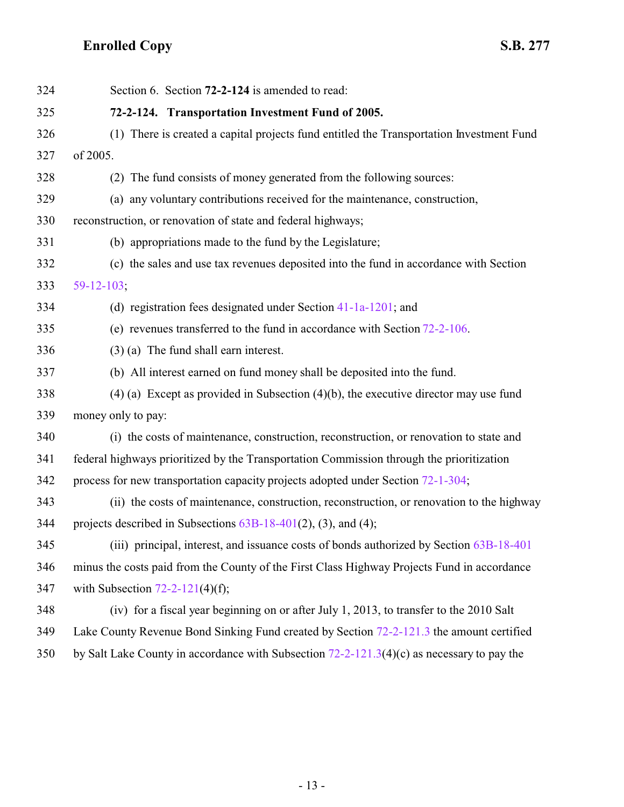<span id="page-12-0"></span>

| 324 | Section 6. Section 72-2-124 is amended to read:                                              |
|-----|----------------------------------------------------------------------------------------------|
| 325 | 72-2-124. Transportation Investment Fund of 2005.                                            |
| 326 | (1) There is created a capital projects fund entitled the Transportation Investment Fund     |
| 327 | of 2005.                                                                                     |
| 328 | (2) The fund consists of money generated from the following sources:                         |
| 329 | (a) any voluntary contributions received for the maintenance, construction,                  |
| 330 | reconstruction, or renovation of state and federal highways;                                 |
| 331 | (b) appropriations made to the fund by the Legislature;                                      |
| 332 | (c) the sales and use tax revenues deposited into the fund in accordance with Section        |
| 333 | $59 - 12 - 103$ ;                                                                            |
| 334 | (d) registration fees designated under Section $41-1a-1201$ ; and                            |
| 335 | (e) revenues transferred to the fund in accordance with Section $72-2-106$ .                 |
| 336 | $(3)$ (a) The fund shall earn interest.                                                      |
| 337 | (b) All interest earned on fund money shall be deposited into the fund.                      |
| 338 | $(4)$ (a) Except as provided in Subsection $(4)(b)$ , the executive director may use fund    |
| 339 | money only to pay:                                                                           |
| 340 | (i) the costs of maintenance, construction, reconstruction, or renovation to state and       |
| 341 | federal highways prioritized by the Transportation Commission through the prioritization     |
| 342 | process for new transportation capacity projects adopted under Section 72-1-304;             |
| 343 | (ii) the costs of maintenance, construction, reconstruction, or renovation to the highway    |
| 344 | projects described in Subsections $63B-18-401(2)$ , (3), and (4);                            |
| 345 | (iii) principal, interest, and issuance costs of bonds authorized by Section 63B-18-401      |
| 346 | minus the costs paid from the County of the First Class Highway Projects Fund in accordance  |
| 347 | with Subsection $72-2-121(4)(f)$ ;                                                           |
| 348 | (iv) for a fiscal year beginning on or after July 1, 2013, to transfer to the 2010 Salt      |
| 349 | Lake County Revenue Bond Sinking Fund created by Section 72-2-121.3 the amount certified     |
| 350 | by Salt Lake County in accordance with Subsection $72-2-121.3(4)(c)$ as necessary to pay the |